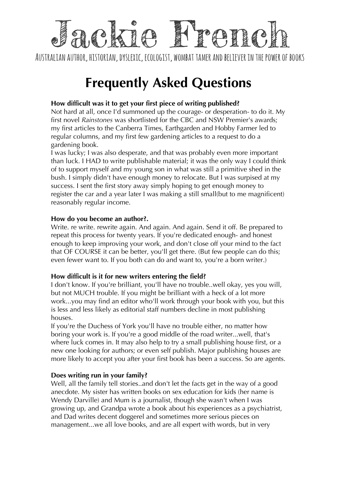## ack IA K remo

AUSTRALIAN AUTHOR, HISTORIAN, DYSLEXIC, ECOLOGIST, WOMBAT TAMER AND BELIEVER IN THE POWER OF BOOKS

# **Frequently Asked Questions**

## **How difficult was it to get your first piece of writing published?**

Not hard at all, once I'd summoned up the courage- or desperation- to do it. My first novel *Rainstones* was shortlisted for the CBC and NSW Premier's awards; my first articles to the Canberra Times, Earthgarden and Hobby Farmer led to regular columns, and my first few gardening articles to a request to do a gardening book.

I was lucky; I was also desperate, and that was probably even more important than luck. I HAD to write publishable material; it was the only way I could think of to support myself and my young son in what was still a primitive shed in the bush. I simply didn't have enough money to relocate. But I was surpised at my success. I sent the first story away simply hoping to get enough money to register the car and a year later I was making a still small(but to me magnificent) reasonably regular income.

## **How do you become an author?.**

Write. re write. rewrite again. And again. And again. Send it off. Be prepared to repeat this process for twenty years. If you're dedicated enough- and honest enough to keep improving your work, and don't close off your mind to the fact that OF COURSE it can be better, you'll get there. (But few people can do this; even fewer want to. If you both can do and want to, you're a born writer.)

## **How difficult is it for new writers entering the field?**

I don't know. If you're brilliant, you'll have no trouble..well okay, yes you will, but not MUCH trouble. If you might be brilliant with a heck of a lot more work...you may find an editor who'll work through your book with you, but this is less and less likely as editorial staff numbers decline in most publishing houses.

If you're the Duchess of York you'll have no trouble either, no matter how boring your work is. If you're a good middle of the road writer...well, that's where luck comes in. It may also help to try a small publishing house first, or a new one looking for authors; or even self publish. Major publishing houses are more likely to accept you after your first book has been a success. So are agents.

## **Does writing run in your family?**

Well, all the family tell stories..and don't let the facts get in the way of a good anecdote. My sister has written books on sex education for kids (her name is Wendy Darville) and Mum is a journalist, though she wasn't when I was growing up, and Grandpa wrote a book about his experiences as a psychiatrist, and Dad writes decent doggerel and sometimes more serious pieces on management...we all love books, and are all expert with words, but in very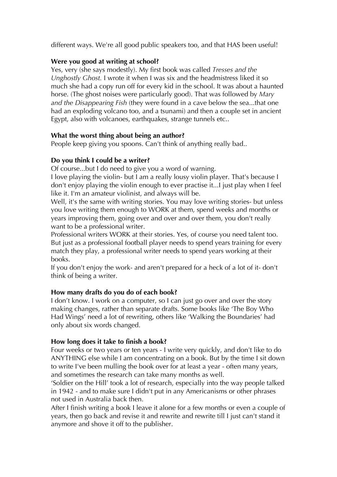different ways. We're all good public speakers too, and that HAS been useful!

## **Were you good at writing at school?**

Yes, very (she says modestly). My first book was called *Tresses and the Unghostly Ghost.* I wrote it when I was six and the headmistress liked it so much she had a copy run off for every kid in the school. It was about a haunted horse. (The ghost noises were particularly good). That was followed by *Mary and the Disappearing Fish* (they were found in a cave below the sea...that one had an exploding volcano too, and a tsunami) and then a couple set in ancient Egypt, also with volcanoes, earthquakes, strange tunnels etc..

## **What the worst thing about being an author?**

People keep giving you spoons. Can't think of anything really bad..

## **Do you think I could be a writer?**

Of course...but I do need to give you a word of warning.

I love playing the violin- but I am a really lousy violin player. That's because I don't enjoy playing the violin enough to ever practise it...I just play when I feel like it. I'm an amateur violinist, and always will be.

Well, it's the same with writing stories. You may love writing stories- but unless you love writing them enough to WORK at them, spend weeks and months or years improving them, going over and over and over them, you don't really want to be a professional writer.

Professional writers WORK at their stories. Yes, of course you need talent too. But just as a professional football player needs to spend years training for every match they play, a professional writer needs to spend years working at their books.

If you don't enjoy the work- and aren't prepared for a heck of a lot of it- don't think of being a writer.

## **How many drafts do you do of each book?**

I don't know. I work on a computer, so I can just go over and over the story making changes, rather than separate drafts. Some books like 'The Boy Who Had Wings' need a lot of rewriting, others like 'Walking the Boundaries' had only about six words changed.

## **How long does it take to finish a book?**

Four weeks or two years or ten years - I write very quickly, and don't like to do ANYTHING else while I am concentrating on a book. But by the time I sit down to write I've been mulling the book over for at least a year - often many years, and sometimes the research can take many months as well.

'Soldier on the Hill' took a lot of research, especially into the way people talked in 1942 - and to make sure I didn't put in any Americanisms or other phrases not used in Australia back then.

After I finish writing a book I leave it alone for a few months or even a couple of years, then go back and revise it and rewrite and rewrite till I just can't stand it anymore and shove it off to the publisher.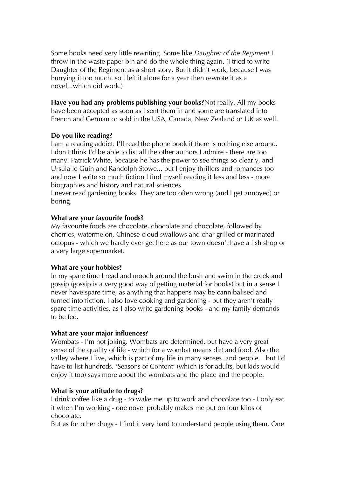Some books need very little rewriting. Some like *Daughter of the Regiment* I throw in the waste paper bin and do the whole thing again. (I tried to write Daughter of the Regiment as a short story. But it didn't work, because I was hurrying it too much. so I left it alone for a year then rewrote it as a novel...which did work.)

**Have you had any problems publishing your books?**Not really. All my books have been accepted as soon as I sent them in and some are translated into French and German or sold in the USA, Canada, New Zealand or UK as well.

#### **Do you like reading?**

I am a reading addict. I'll read the phone book if there is nothing else around. I don't think I'd be able to list all the other authors I admire - there are too many. Patrick White, because he has the power to see things so clearly, and Ursula le Guin and Randolph Stowe... but I enjoy thrillers and romances too and now I write so much fiction I find myself reading it less and less - more biographies and history and natural sciences.

I never read gardening books. They are too often wrong (and I get annoyed) or boring.

#### **What are your favourite foods?**

My favourite foods are chocolate, chocolate and chocolate, followed by cherries, watermelon, Chinese cloud swallows and char grilled or marinated octopus - which we hardly ever get here as our town doesn't have a fish shop or a very large supermarket.

#### **What are your hobbies?**

In my spare time I read and mooch around the bush and swim in the creek and gossip (gossip is a very good way of getting material for books) but in a sense I never have spare time, as anything that happens may be cannibalised and turned into fiction. I also love cooking and gardening - but they aren't really spare time activities, as I also write gardening books - and my family demands to be fed.

#### **What are your major influences?**

Wombats - I'm not joking. Wombats are determined, but have a very great sense of the quality of life - which for a wombat means dirt and food. Also the valley where I live, which is part of my life in many senses. and people... but I'd have to list hundreds. 'Seasons of Content' (which is for adults, but kids would enjoy it too) says more about the wombats and the place and the people.

#### **What is your attitude to drugs?**

I drink coffee like a drug - to wake me up to work and chocolate too - I only eat it when I'm working - one novel probably makes me put on four kilos of chocolate.

But as for other drugs - I find it very hard to understand people using them. One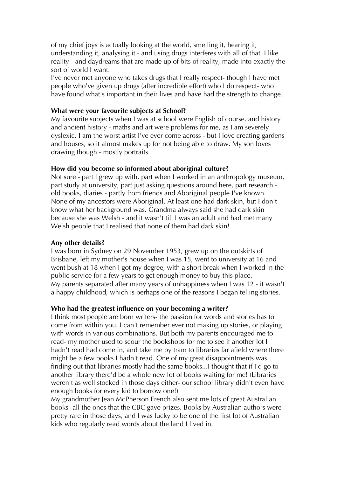of my chief joys is actually looking at the world, smelling it, hearing it, understanding it, analysing it - and using drugs interferes with all of that. I like reality - and daydreams that are made up of bits of reality, made into exactly the sort of world I want.

I've never met anyone who takes drugs that I really respect- though I have met people who've given up drugs (after incredible effort) who I do respect- who have found what's important in their lives and have had the strength to change.

#### **What were your favourite subjects at School?**

My favourite subjects when I was at school were English of course, and history and ancient history - maths and art were problems for me, as I am severely dyslexic. I am the worst artist I've ever come across - but I love creating gardens and houses, so it almost makes up for not being able to draw. My son loves drawing though - mostly portraits.

## **How did you become so informed about aboriginal culture?**

Not sure - part I grew up with, part when I worked in an anthropology museum, part study at university, part just asking questions around here, part research old books, diaries - partly from friends and Aboriginal people I've known. None of my ancestors were Aboriginal. At least one had dark skin, but I don't know what her background was. Grandma always said she had dark skin because she was Welsh - and it wasn't till I was an adult and had met many Welsh people that I realised that none of them had dark skin!

## **Any other details?**

I was born in Sydney on 29 November 1953, grew up on the outskirts of Brisbane, left my mother's house when I was 15, went to university at 16 and went bush at 18 when I got my degree, with a short break when I worked in the public service for a few years to get enough money to buy this place. My parents separated after many years of unhappiness when I was 12 - it wasn't a happy childhood, which is perhaps one of the reasons I began telling stories.

## **Who had the greatest influence on your becoming a writer?**

I think most people are born writers- the passion for words and stories has to come from within you. I can't remember ever not making up stories, or playing with words in various combinations. But both my parents encouraged me to read- my mother used to scour the bookshops for me to see if another lot I hadn't read had come in, and take me by tram to libraries far afield where there might be a few books I hadn't read. One of my great disappointments was finding out that libraries mostly had the same books...I thought that if I'd go to another library there'd be a whole new lot of books waiting for me! (Libraries weren't as well stocked in those days either- our school library didn't even have enough books for every kid to borrow one!)

My grandmother Jean McPherson French also sent me lots of great Australian books- all the ones that the CBC gave prizes. Books by Australian authors were pretty rare in those days, and I was lucky to be one of the first lot of Australian kids who regularly read words about the land I lived in.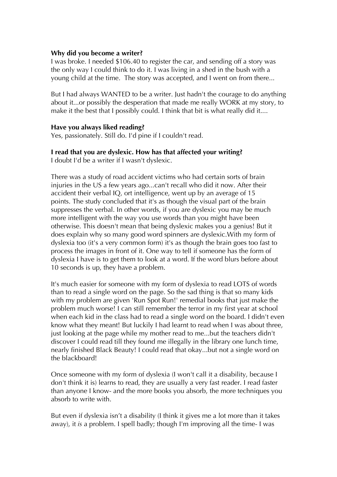#### **Why did you become a writer?**

I was broke. I needed \$106.40 to register the car, and sending off a story was the only way I could think to do it. I was living in a shed in the bush with a young child at the time. The story was accepted, and I went on from there...

But I had always WANTED to be a writer. Just hadn't the courage to do anything about it...or possibly the desperation that made me really WORK at my story, to make it the best that I possibly could. I think that bit is what really did it....

#### **Have you always liked reading?**

Yes, passionately. Still do. I'd pine if I couldn't read.

## **I read that you are dyslexic. How has that affected your writing?**

I doubt I'd be a writer if I wasn't dyslexic.

There was a study of road accident victims who had certain sorts of brain injuries in the US a few years ago...can't recall who did it now. After their accident their verbal IQ, ort intelligence, went up by an average of 15 points. The study concluded that it's as though the visual part of the brain suppresses the verbal. In other words, if you are dyslexic you may be much more intelligent with the way you use words than you might have been otherwise. This doesn't mean that being dyslexic makes you a genius! But it does explain why so many good word spinners are dyslexic.With my form of dyslexia too (it's a very common form) it's as though the brain goes too fast to process the images in front of it. One way to tell if someone has the form of dyslexia I have is to get them to look at a word. If the word blurs before about 10 seconds is up, they have a problem.

It's much easier for someone with my form of dyslexia to read LOTS of words than to read a single word on the page. So the sad thing is that so many kids with my problem are given 'Run Spot Run!' remedial books that just make the problem much worse! I can still remember the terror in my first year at school when each kid in the class had to read a single word on the board. I didn't even know what they meant! But luckily I had learnt to read when I was about three, just looking at the page while my mother read to me...but the teachers didn't discover I could read till they found me illegally in the library one lunch time, nearly finished Black Beauty! I could read that okay...but not a single word on the blackboard!

Once someone with my form of dyslexia (I won't call it a disability, because I don't think it is) learns to read, they are usually a very fast reader. I read faster than anyone I know- and the more books you absorb, the more techniques you absorb to write with.

But even if dyslexia isn't a disability (I think it gives me a lot more than it takes away), it *is* a problem. I spell badly; though I'm improving all the time- I was